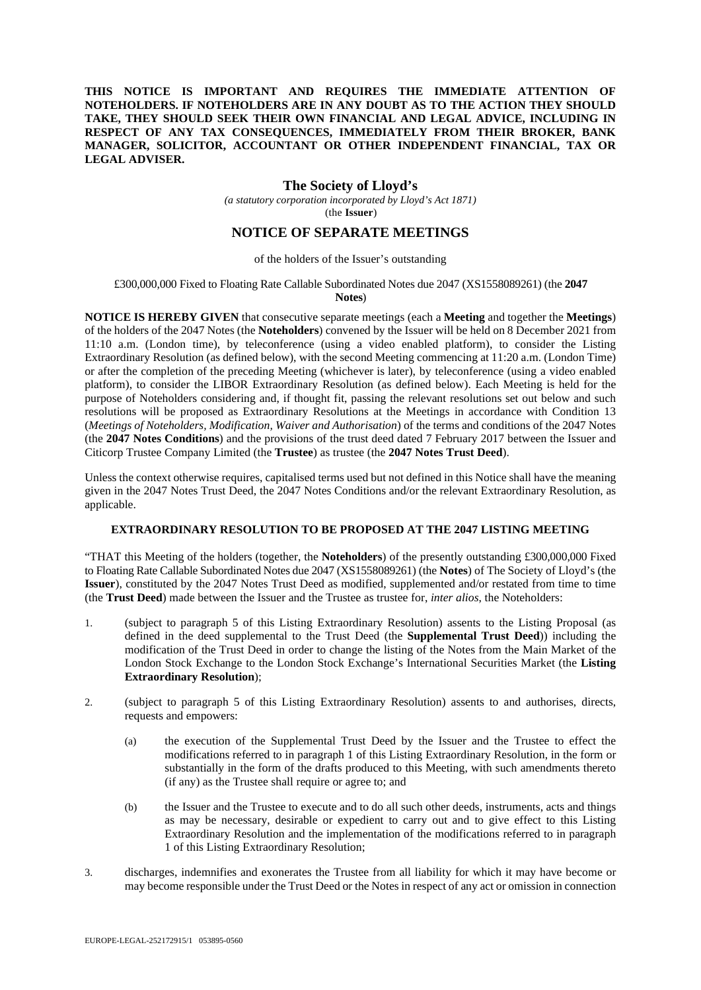## **THIS NOTICE IS IMPORTANT AND REQUIRES THE IMMEDIATE ATTENTION OF NOTEHOLDERS. IF NOTEHOLDERS ARE IN ANY DOUBT AS TO THE ACTION THEY SHOULD TAKE, THEY SHOULD SEEK THEIR OWN FINANCIAL AND LEGAL ADVICE, INCLUDING IN RESPECT OF ANY TAX CONSEQUENCES, IMMEDIATELY FROM THEIR BROKER, BANK MANAGER, SOLICITOR, ACCOUNTANT OR OTHER INDEPENDENT FINANCIAL, TAX OR LEGAL ADVISER.**

## **The Society of Lloyd's**

*(a statutory corporation incorporated by Lloyd's Act 1871)*  (the **Issuer**)

## **NOTICE OF SEPARATE MEETINGS**

#### of the holders of the Issuer's outstanding

# £300,000,000 Fixed to Floating Rate Callable Subordinated Notes due 2047 (XS1558089261) (the **2047**

**Notes**)

**NOTICE IS HEREBY GIVEN** that consecutive separate meetings (each a **Meeting** and together the **Meetings**) of the holders of the 2047 Notes (the **Noteholders**) convened by the Issuer will be held on 8 December 2021 from 11:10 a.m. (London time), by teleconference (using a video enabled platform), to consider the Listing Extraordinary Resolution (as defined below), with the second Meeting commencing at 11:20 a.m. (London Time) or after the completion of the preceding Meeting (whichever is later), by teleconference (using a video enabled platform), to consider the LIBOR Extraordinary Resolution (as defined below). Each Meeting is held for the purpose of Noteholders considering and, if thought fit, passing the relevant resolutions set out below and such resolutions will be proposed as Extraordinary Resolutions at the Meetings in accordance with Condition 13 (*Meetings of Noteholders, Modification, Waiver and Authorisation*) of the terms and conditions of the 2047 Notes (the **2047 Notes Conditions**) and the provisions of the trust deed dated 7 February 2017 between the Issuer and Citicorp Trustee Company Limited (the **Trustee**) as trustee (the **2047 Notes Trust Deed**).

Unless the context otherwise requires, capitalised terms used but not defined in this Notice shall have the meaning given in the 2047 Notes Trust Deed, the 2047 Notes Conditions and/or the relevant Extraordinary Resolution, as applicable.

## **EXTRAORDINARY RESOLUTION TO BE PROPOSED AT THE 2047 LISTING MEETING**

"THAT this Meeting of the holders (together, the **Noteholders**) of the presently outstanding £300,000,000 Fixed to Floating Rate Callable Subordinated Notes due 2047 (XS1558089261) (the **Notes**) of The Society of Lloyd's (the **Issuer**), constituted by the 2047 Notes Trust Deed as modified, supplemented and/or restated from time to time (the **Trust Deed**) made between the Issuer and the Trustee as trustee for, *inter alios*, the Noteholders:

- 1. (subject to paragraph 5 of this Listing Extraordinary Resolution) assents to the Listing Proposal (as defined in the deed supplemental to the Trust Deed (the **Supplemental Trust Deed**)) including the modification of the Trust Deed in order to change the listing of the Notes from the Main Market of the London Stock Exchange to the London Stock Exchange's International Securities Market (the **Listing Extraordinary Resolution**);
- 2. (subject to paragraph 5 of this Listing Extraordinary Resolution) assents to and authorises, directs, requests and empowers:
	- (a) the execution of the Supplemental Trust Deed by the Issuer and the Trustee to effect the modifications referred to in paragraph 1 of this Listing Extraordinary Resolution, in the form or substantially in the form of the drafts produced to this Meeting, with such amendments thereto (if any) as the Trustee shall require or agree to; and
	- (b) the Issuer and the Trustee to execute and to do all such other deeds, instruments, acts and things as may be necessary, desirable or expedient to carry out and to give effect to this Listing Extraordinary Resolution and the implementation of the modifications referred to in paragraph 1 of this Listing Extraordinary Resolution;
- 3. discharges, indemnifies and exonerates the Trustee from all liability for which it may have become or may become responsible under the Trust Deed or the Notes in respect of any act or omission in connection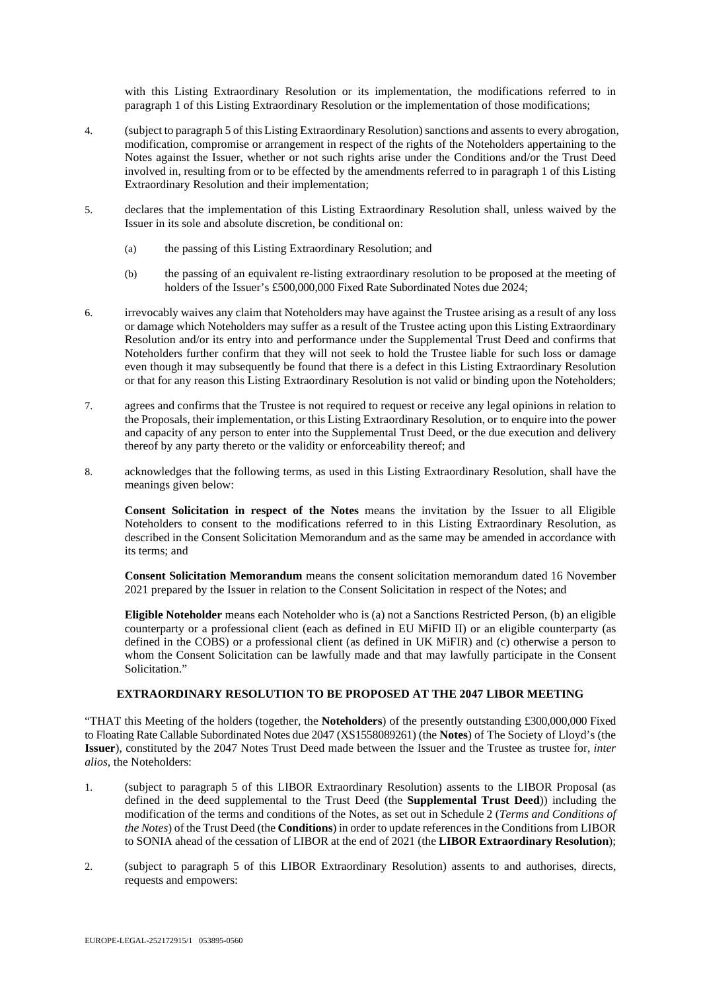with this Listing Extraordinary Resolution or its implementation, the modifications referred to in paragraph 1 of this Listing Extraordinary Resolution or the implementation of those modifications;

- 4. (subject to paragraph 5 of this Listing Extraordinary Resolution) sanctions and assents to every abrogation, modification, compromise or arrangement in respect of the rights of the Noteholders appertaining to the Notes against the Issuer, whether or not such rights arise under the Conditions and/or the Trust Deed involved in, resulting from or to be effected by the amendments referred to in paragraph 1 of this Listing Extraordinary Resolution and their implementation;
- 5. declares that the implementation of this Listing Extraordinary Resolution shall, unless waived by the Issuer in its sole and absolute discretion, be conditional on:
	- (a) the passing of this Listing Extraordinary Resolution; and
	- (b) the passing of an equivalent re-listing extraordinary resolution to be proposed at the meeting of holders of the Issuer's £500,000,000 Fixed Rate Subordinated Notes due 2024;
- 6. irrevocably waives any claim that Noteholders may have against the Trustee arising as a result of any loss or damage which Noteholders may suffer as a result of the Trustee acting upon this Listing Extraordinary Resolution and/or its entry into and performance under the Supplemental Trust Deed and confirms that Noteholders further confirm that they will not seek to hold the Trustee liable for such loss or damage even though it may subsequently be found that there is a defect in this Listing Extraordinary Resolution or that for any reason this Listing Extraordinary Resolution is not valid or binding upon the Noteholders;
- 7. agrees and confirms that the Trustee is not required to request or receive any legal opinions in relation to the Proposals, their implementation, or this Listing Extraordinary Resolution, or to enquire into the power and capacity of any person to enter into the Supplemental Trust Deed, or the due execution and delivery thereof by any party thereto or the validity or enforceability thereof; and
- 8. acknowledges that the following terms, as used in this Listing Extraordinary Resolution, shall have the meanings given below:

**Consent Solicitation in respect of the Notes** means the invitation by the Issuer to all Eligible Noteholders to consent to the modifications referred to in this Listing Extraordinary Resolution, as described in the Consent Solicitation Memorandum and as the same may be amended in accordance with its terms; and

**Consent Solicitation Memorandum** means the consent solicitation memorandum dated 16 November 2021 prepared by the Issuer in relation to the Consent Solicitation in respect of the Notes; and

**Eligible Noteholder** means each Noteholder who is (a) not a Sanctions Restricted Person, (b) an eligible counterparty or a professional client (each as defined in EU MiFID II) or an eligible counterparty (as defined in the COBS) or a professional client (as defined in UK MiFIR) and (c) otherwise a person to whom the Consent Solicitation can be lawfully made and that may lawfully participate in the Consent Solicitation."

## **EXTRAORDINARY RESOLUTION TO BE PROPOSED AT THE 2047 LIBOR MEETING**

"THAT this Meeting of the holders (together, the **Noteholders**) of the presently outstanding £300,000,000 Fixed to Floating Rate Callable Subordinated Notes due 2047 (XS1558089261) (the **Notes**) of The Society of Lloyd's (the **Issuer**), constituted by the 2047 Notes Trust Deed made between the Issuer and the Trustee as trustee for, *inter alios*, the Noteholders:

- 1. (subject to paragraph 5 of this LIBOR Extraordinary Resolution) assents to the LIBOR Proposal (as defined in the deed supplemental to the Trust Deed (the **Supplemental Trust Deed**)) including the modification of the terms and conditions of the Notes, as set out in Schedule 2 (*Terms and Conditions of the Notes*) of the Trust Deed (the **Conditions**) in order to update references in the Conditions from LIBOR to SONIA ahead of the cessation of LIBOR at the end of 2021 (the **LIBOR Extraordinary Resolution**);
- 2. (subject to paragraph 5 of this LIBOR Extraordinary Resolution) assents to and authorises, directs, requests and empowers: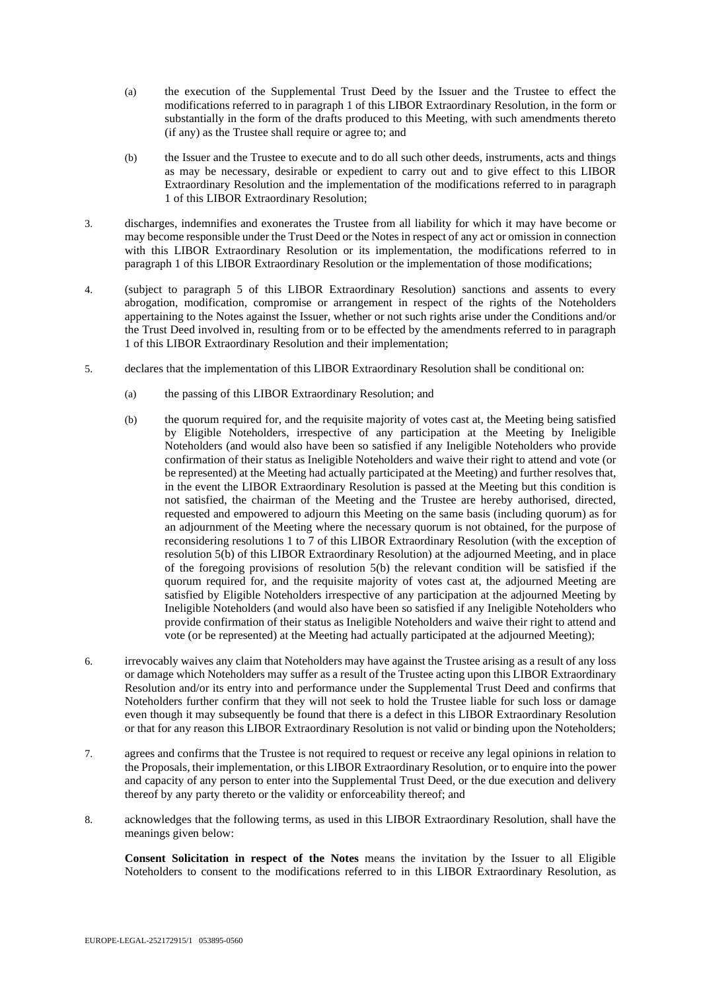- (a) the execution of the Supplemental Trust Deed by the Issuer and the Trustee to effect the modifications referred to in paragraph 1 of this LIBOR Extraordinary Resolution, in the form or substantially in the form of the drafts produced to this Meeting, with such amendments thereto (if any) as the Trustee shall require or agree to; and
- (b) the Issuer and the Trustee to execute and to do all such other deeds, instruments, acts and things as may be necessary, desirable or expedient to carry out and to give effect to this LIBOR Extraordinary Resolution and the implementation of the modifications referred to in paragraph 1 of this LIBOR Extraordinary Resolution;
- 3. discharges, indemnifies and exonerates the Trustee from all liability for which it may have become or may become responsible under the Trust Deed or the Notes in respect of any act or omission in connection with this LIBOR Extraordinary Resolution or its implementation, the modifications referred to in paragraph 1 of this LIBOR Extraordinary Resolution or the implementation of those modifications;
- 4. (subject to paragraph 5 of this LIBOR Extraordinary Resolution) sanctions and assents to every abrogation, modification, compromise or arrangement in respect of the rights of the Noteholders appertaining to the Notes against the Issuer, whether or not such rights arise under the Conditions and/or the Trust Deed involved in, resulting from or to be effected by the amendments referred to in paragraph 1 of this LIBOR Extraordinary Resolution and their implementation;
- 5. declares that the implementation of this LIBOR Extraordinary Resolution shall be conditional on:
	- (a) the passing of this LIBOR Extraordinary Resolution; and
	- (b) the quorum required for, and the requisite majority of votes cast at, the Meeting being satisfied by Eligible Noteholders, irrespective of any participation at the Meeting by Ineligible Noteholders (and would also have been so satisfied if any Ineligible Noteholders who provide confirmation of their status as Ineligible Noteholders and waive their right to attend and vote (or be represented) at the Meeting had actually participated at the Meeting) and further resolves that, in the event the LIBOR Extraordinary Resolution is passed at the Meeting but this condition is not satisfied, the chairman of the Meeting and the Trustee are hereby authorised, directed, requested and empowered to adjourn this Meeting on the same basis (including quorum) as for an adjournment of the Meeting where the necessary quorum is not obtained, for the purpose of reconsidering resolutions 1 to 7 of this LIBOR Extraordinary Resolution (with the exception of resolution 5(b) of this LIBOR Extraordinary Resolution) at the adjourned Meeting, and in place of the foregoing provisions of resolution 5(b) the relevant condition will be satisfied if the quorum required for, and the requisite majority of votes cast at, the adjourned Meeting are satisfied by Eligible Noteholders irrespective of any participation at the adjourned Meeting by Ineligible Noteholders (and would also have been so satisfied if any Ineligible Noteholders who provide confirmation of their status as Ineligible Noteholders and waive their right to attend and vote (or be represented) at the Meeting had actually participated at the adjourned Meeting);
- 6. irrevocably waives any claim that Noteholders may have against the Trustee arising as a result of any loss or damage which Noteholders may suffer as a result of the Trustee acting upon this LIBOR Extraordinary Resolution and/or its entry into and performance under the Supplemental Trust Deed and confirms that Noteholders further confirm that they will not seek to hold the Trustee liable for such loss or damage even though it may subsequently be found that there is a defect in this LIBOR Extraordinary Resolution or that for any reason this LIBOR Extraordinary Resolution is not valid or binding upon the Noteholders;
- 7. agrees and confirms that the Trustee is not required to request or receive any legal opinions in relation to the Proposals, their implementation, or this LIBOR Extraordinary Resolution, or to enquire into the power and capacity of any person to enter into the Supplemental Trust Deed, or the due execution and delivery thereof by any party thereto or the validity or enforceability thereof; and
- 8. acknowledges that the following terms, as used in this LIBOR Extraordinary Resolution, shall have the meanings given below:

**Consent Solicitation in respect of the Notes** means the invitation by the Issuer to all Eligible Noteholders to consent to the modifications referred to in this LIBOR Extraordinary Resolution, as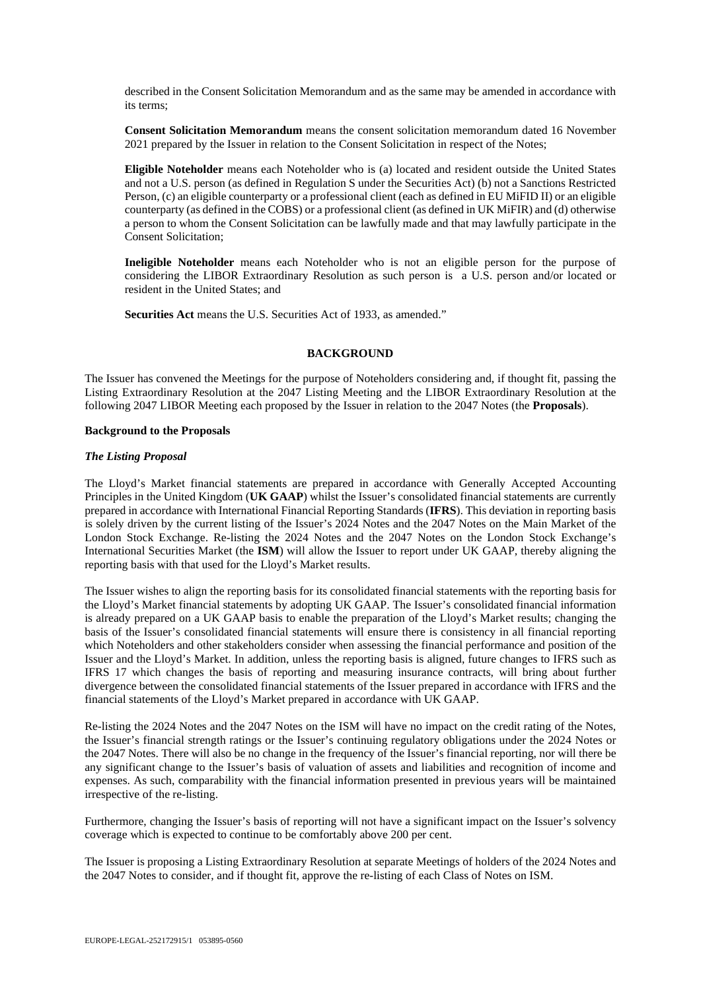described in the Consent Solicitation Memorandum and as the same may be amended in accordance with its terms;

**Consent Solicitation Memorandum** means the consent solicitation memorandum dated 16 November 2021 prepared by the Issuer in relation to the Consent Solicitation in respect of the Notes;

**Eligible Noteholder** means each Noteholder who is (a) located and resident outside the United States and not a U.S. person (as defined in Regulation S under the Securities Act) (b) not a Sanctions Restricted Person, (c) an eligible counterparty or a professional client (each as defined in EU MiFID II) or an eligible counterparty (as defined in the COBS) or a professional client (as defined in UK MiFIR) and (d) otherwise a person to whom the Consent Solicitation can be lawfully made and that may lawfully participate in the Consent Solicitation;

**Ineligible Noteholder** means each Noteholder who is not an eligible person for the purpose of considering the LIBOR Extraordinary Resolution as such person is a U.S. person and/or located or resident in the United States; and

**Securities Act** means the U.S. Securities Act of 1933, as amended."

#### **BACKGROUND**

The Issuer has convened the Meetings for the purpose of Noteholders considering and, if thought fit, passing the Listing Extraordinary Resolution at the 2047 Listing Meeting and the LIBOR Extraordinary Resolution at the following 2047 LIBOR Meeting each proposed by the Issuer in relation to the 2047 Notes (the **Proposals**).

#### **Background to the Proposals**

#### *The Listing Proposal*

The Lloyd's Market financial statements are prepared in accordance with Generally Accepted Accounting Principles in the United Kingdom (**UK GAAP**) whilst the Issuer's consolidated financial statements are currently prepared in accordance with International Financial Reporting Standards (**IFRS**). This deviation in reporting basis is solely driven by the current listing of the Issuer's 2024 Notes and the 2047 Notes on the Main Market of the London Stock Exchange. Re-listing the 2024 Notes and the 2047 Notes on the London Stock Exchange's International Securities Market (the **ISM**) will allow the Issuer to report under UK GAAP, thereby aligning the reporting basis with that used for the Lloyd's Market results.

The Issuer wishes to align the reporting basis for its consolidated financial statements with the reporting basis for the Lloyd's Market financial statements by adopting UK GAAP. The Issuer's consolidated financial information is already prepared on a UK GAAP basis to enable the preparation of the Lloyd's Market results; changing the basis of the Issuer's consolidated financial statements will ensure there is consistency in all financial reporting which Noteholders and other stakeholders consider when assessing the financial performance and position of the Issuer and the Lloyd's Market. In addition, unless the reporting basis is aligned, future changes to IFRS such as IFRS 17 which changes the basis of reporting and measuring insurance contracts, will bring about further divergence between the consolidated financial statements of the Issuer prepared in accordance with IFRS and the financial statements of the Lloyd's Market prepared in accordance with UK GAAP.

Re-listing the 2024 Notes and the 2047 Notes on the ISM will have no impact on the credit rating of the Notes, the Issuer's financial strength ratings or the Issuer's continuing regulatory obligations under the 2024 Notes or the 2047 Notes. There will also be no change in the frequency of the Issuer's financial reporting, nor will there be any significant change to the Issuer's basis of valuation of assets and liabilities and recognition of income and expenses. As such, comparability with the financial information presented in previous years will be maintained irrespective of the re-listing.

Furthermore, changing the Issuer's basis of reporting will not have a significant impact on the Issuer's solvency coverage which is expected to continue to be comfortably above 200 per cent.

The Issuer is proposing a Listing Extraordinary Resolution at separate Meetings of holders of the 2024 Notes and the 2047 Notes to consider, and if thought fit, approve the re-listing of each Class of Notes on ISM.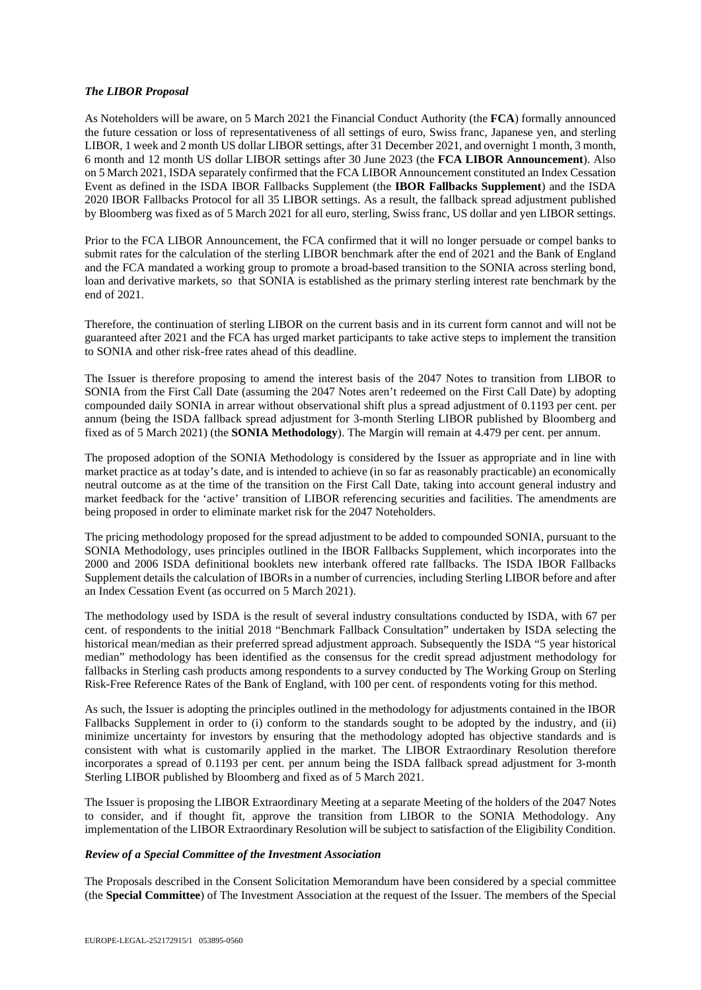#### *The LIBOR Proposal*

As Noteholders will be aware, on 5 March 2021 the Financial Conduct Authority (the **FCA**) formally announced the future cessation or loss of representativeness of all settings of euro, Swiss franc, Japanese yen, and sterling LIBOR, 1 week and 2 month US dollar LIBOR settings, after 31 December 2021, and overnight 1 month, 3 month, 6 month and 12 month US dollar LIBOR settings after 30 June 2023 (the **FCA LIBOR Announcement**). Also on 5 March 2021, ISDA separately confirmed that the FCA LIBOR Announcement constituted an Index Cessation Event as defined in the ISDA IBOR Fallbacks Supplement (the **IBOR Fallbacks Supplement**) and the ISDA 2020 IBOR Fallbacks Protocol for all 35 LIBOR settings. As a result, the fallback spread adjustment published by Bloomberg was fixed as of 5 March 2021 for all euro, sterling, Swiss franc, US dollar and yen LIBOR settings.

Prior to the FCA LIBOR Announcement, the FCA confirmed that it will no longer persuade or compel banks to submit rates for the calculation of the sterling LIBOR benchmark after the end of 2021 and the Bank of England and the FCA mandated a working group to promote a broad-based transition to the SONIA across sterling bond, loan and derivative markets, so that SONIA is established as the primary sterling interest rate benchmark by the end of 2021.

Therefore, the continuation of sterling LIBOR on the current basis and in its current form cannot and will not be guaranteed after 2021 and the FCA has urged market participants to take active steps to implement the transition to SONIA and other risk-free rates ahead of this deadline.

The Issuer is therefore proposing to amend the interest basis of the 2047 Notes to transition from LIBOR to SONIA from the First Call Date (assuming the 2047 Notes aren't redeemed on the First Call Date) by adopting compounded daily SONIA in arrear without observational shift plus a spread adjustment of 0.1193 per cent. per annum (being the ISDA fallback spread adjustment for 3-month Sterling LIBOR published by Bloomberg and fixed as of 5 March 2021) (the **SONIA Methodology**). The Margin will remain at 4.479 per cent. per annum.

The proposed adoption of the SONIA Methodology is considered by the Issuer as appropriate and in line with market practice as at today's date, and is intended to achieve (in so far as reasonably practicable) an economically neutral outcome as at the time of the transition on the First Call Date, taking into account general industry and market feedback for the 'active' transition of LIBOR referencing securities and facilities. The amendments are being proposed in order to eliminate market risk for the 2047 Noteholders.

The pricing methodology proposed for the spread adjustment to be added to compounded SONIA, pursuant to the SONIA Methodology, uses principles outlined in the IBOR Fallbacks Supplement, which incorporates into the 2000 and 2006 ISDA definitional booklets new interbank offered rate fallbacks. The ISDA IBOR Fallbacks Supplement details the calculation of IBORs in a number of currencies, including Sterling LIBOR before and after an Index Cessation Event (as occurred on 5 March 2021).

The methodology used by ISDA is the result of several industry consultations conducted by ISDA, with 67 per cent. of respondents to the initial 2018 "Benchmark Fallback Consultation" undertaken by ISDA selecting the historical mean/median as their preferred spread adjustment approach. Subsequently the ISDA "5 year historical median" methodology has been identified as the consensus for the credit spread adjustment methodology for fallbacks in Sterling cash products among respondents to a survey conducted by The Working Group on Sterling Risk-Free Reference Rates of the Bank of England, with 100 per cent. of respondents voting for this method.

As such, the Issuer is adopting the principles outlined in the methodology for adjustments contained in the IBOR Fallbacks Supplement in order to (i) conform to the standards sought to be adopted by the industry, and (ii) minimize uncertainty for investors by ensuring that the methodology adopted has objective standards and is consistent with what is customarily applied in the market. The LIBOR Extraordinary Resolution therefore incorporates a spread of 0.1193 per cent. per annum being the ISDA fallback spread adjustment for 3-month Sterling LIBOR published by Bloomberg and fixed as of 5 March 2021.

The Issuer is proposing the LIBOR Extraordinary Meeting at a separate Meeting of the holders of the 2047 Notes to consider, and if thought fit, approve the transition from LIBOR to the SONIA Methodology. Any implementation of the LIBOR Extraordinary Resolution will be subject to satisfaction of the Eligibility Condition.

## *Review of a Special Committee of the Investment Association*

The Proposals described in the Consent Solicitation Memorandum have been considered by a special committee (the **Special Committee**) of The Investment Association at the request of the Issuer. The members of the Special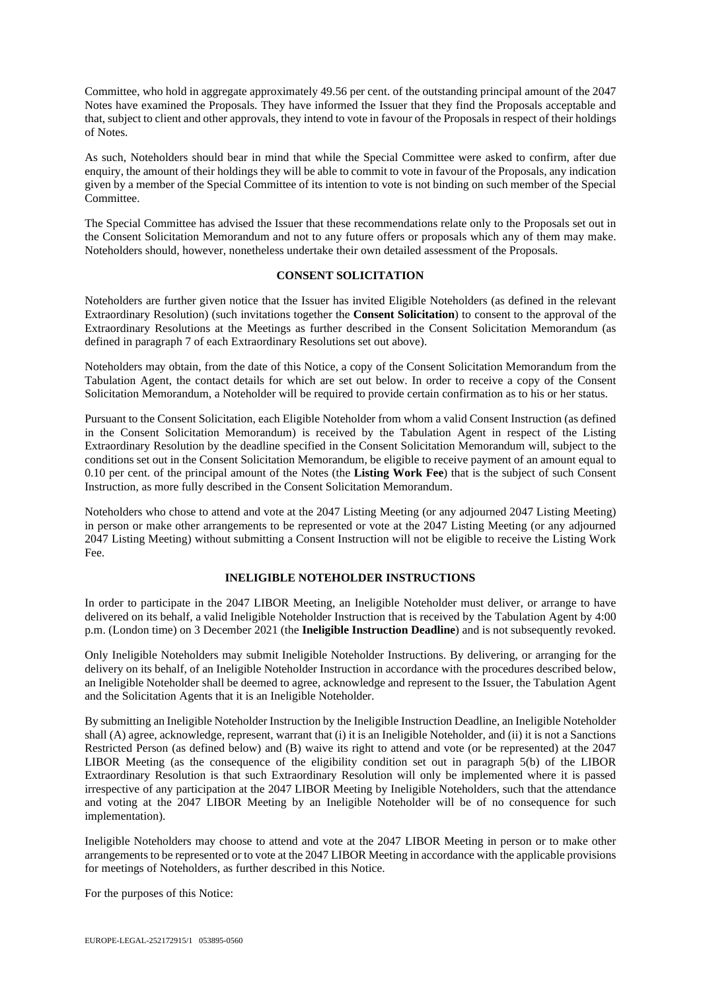Committee, who hold in aggregate approximately 49.56 per cent. of the outstanding principal amount of the 2047 Notes have examined the Proposals. They have informed the Issuer that they find the Proposals acceptable and that, subject to client and other approvals, they intend to vote in favour of the Proposals in respect of their holdings of Notes.

As such, Noteholders should bear in mind that while the Special Committee were asked to confirm, after due enquiry, the amount of their holdings they will be able to commit to vote in favour of the Proposals, any indication given by a member of the Special Committee of its intention to vote is not binding on such member of the Special Committee.

The Special Committee has advised the Issuer that these recommendations relate only to the Proposals set out in the Consent Solicitation Memorandum and not to any future offers or proposals which any of them may make. Noteholders should, however, nonetheless undertake their own detailed assessment of the Proposals.

## **CONSENT SOLICITATION**

Noteholders are further given notice that the Issuer has invited Eligible Noteholders (as defined in the relevant Extraordinary Resolution) (such invitations together the **Consent Solicitation**) to consent to the approval of the Extraordinary Resolutions at the Meetings as further described in the Consent Solicitation Memorandum (as defined in paragraph 7 of each Extraordinary Resolutions set out above).

Noteholders may obtain, from the date of this Notice, a copy of the Consent Solicitation Memorandum from the Tabulation Agent, the contact details for which are set out below. In order to receive a copy of the Consent Solicitation Memorandum, a Noteholder will be required to provide certain confirmation as to his or her status.

Pursuant to the Consent Solicitation, each Eligible Noteholder from whom a valid Consent Instruction (as defined in the Consent Solicitation Memorandum) is received by the Tabulation Agent in respect of the Listing Extraordinary Resolution by the deadline specified in the Consent Solicitation Memorandum will, subject to the conditions set out in the Consent Solicitation Memorandum, be eligible to receive payment of an amount equal to 0.10 per cent. of the principal amount of the Notes (the **Listing Work Fee**) that is the subject of such Consent Instruction, as more fully described in the Consent Solicitation Memorandum.

Noteholders who chose to attend and vote at the 2047 Listing Meeting (or any adjourned 2047 Listing Meeting) in person or make other arrangements to be represented or vote at the 2047 Listing Meeting (or any adjourned 2047 Listing Meeting) without submitting a Consent Instruction will not be eligible to receive the Listing Work  $F_{\rho\rho}$ 

## **INELIGIBLE NOTEHOLDER INSTRUCTIONS**

In order to participate in the 2047 LIBOR Meeting, an Ineligible Noteholder must deliver, or arrange to have delivered on its behalf, a valid Ineligible Noteholder Instruction that is received by the Tabulation Agent by 4:00 p.m. (London time) on 3 December 2021 (the **Ineligible Instruction Deadline**) and is not subsequently revoked.

Only Ineligible Noteholders may submit Ineligible Noteholder Instructions. By delivering, or arranging for the delivery on its behalf, of an Ineligible Noteholder Instruction in accordance with the procedures described below, an Ineligible Noteholder shall be deemed to agree, acknowledge and represent to the Issuer, the Tabulation Agent and the Solicitation Agents that it is an Ineligible Noteholder.

By submitting an Ineligible Noteholder Instruction by the Ineligible Instruction Deadline, an Ineligible Noteholder shall (A) agree, acknowledge, represent, warrant that (i) it is an Ineligible Noteholder, and (ii) it is not a Sanctions Restricted Person (as defined below) and (B) waive its right to attend and vote (or be represented) at the 2047 LIBOR Meeting (as the consequence of the eligibility condition set out in paragraph 5(b) of the LIBOR Extraordinary Resolution is that such Extraordinary Resolution will only be implemented where it is passed irrespective of any participation at the 2047 LIBOR Meeting by Ineligible Noteholders, such that the attendance and voting at the 2047 LIBOR Meeting by an Ineligible Noteholder will be of no consequence for such implementation).

Ineligible Noteholders may choose to attend and vote at the 2047 LIBOR Meeting in person or to make other arrangements to be represented or to vote at the 2047 LIBOR Meeting in accordance with the applicable provisions for meetings of Noteholders, as further described in this Notice.

For the purposes of this Notice: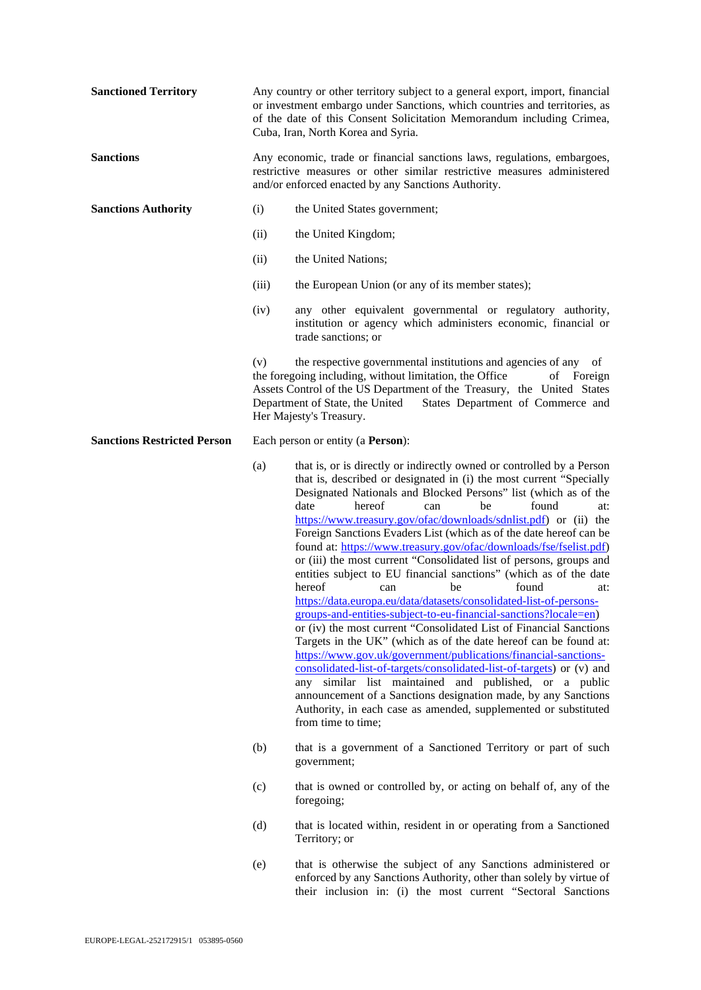| <b>Sanctioned Territory</b>        | Any country or other territory subject to a general export, import, financial<br>or investment embargo under Sanctions, which countries and territories, as<br>of the date of this Consent Solicitation Memorandum including Crimea,<br>Cuba, Iran, North Korea and Syria.                                                      |                                                                                                                                                                                                                                                                                                                                                                                                                                                                                                                                                                                                                                                                                                                                                                                                                                                                                                                                                                                                                                                                                                                                                                                                                                                                                                                        |
|------------------------------------|---------------------------------------------------------------------------------------------------------------------------------------------------------------------------------------------------------------------------------------------------------------------------------------------------------------------------------|------------------------------------------------------------------------------------------------------------------------------------------------------------------------------------------------------------------------------------------------------------------------------------------------------------------------------------------------------------------------------------------------------------------------------------------------------------------------------------------------------------------------------------------------------------------------------------------------------------------------------------------------------------------------------------------------------------------------------------------------------------------------------------------------------------------------------------------------------------------------------------------------------------------------------------------------------------------------------------------------------------------------------------------------------------------------------------------------------------------------------------------------------------------------------------------------------------------------------------------------------------------------------------------------------------------------|
| <b>Sanctions</b>                   | Any economic, trade or financial sanctions laws, regulations, embargoes,<br>restrictive measures or other similar restrictive measures administered<br>and/or enforced enacted by any Sanctions Authority.                                                                                                                      |                                                                                                                                                                                                                                                                                                                                                                                                                                                                                                                                                                                                                                                                                                                                                                                                                                                                                                                                                                                                                                                                                                                                                                                                                                                                                                                        |
| <b>Sanctions Authority</b>         | (i)                                                                                                                                                                                                                                                                                                                             | the United States government;                                                                                                                                                                                                                                                                                                                                                                                                                                                                                                                                                                                                                                                                                                                                                                                                                                                                                                                                                                                                                                                                                                                                                                                                                                                                                          |
|                                    | (ii)                                                                                                                                                                                                                                                                                                                            | the United Kingdom;                                                                                                                                                                                                                                                                                                                                                                                                                                                                                                                                                                                                                                                                                                                                                                                                                                                                                                                                                                                                                                                                                                                                                                                                                                                                                                    |
|                                    | (ii)                                                                                                                                                                                                                                                                                                                            | the United Nations;                                                                                                                                                                                                                                                                                                                                                                                                                                                                                                                                                                                                                                                                                                                                                                                                                                                                                                                                                                                                                                                                                                                                                                                                                                                                                                    |
|                                    | (iii)                                                                                                                                                                                                                                                                                                                           | the European Union (or any of its member states);                                                                                                                                                                                                                                                                                                                                                                                                                                                                                                                                                                                                                                                                                                                                                                                                                                                                                                                                                                                                                                                                                                                                                                                                                                                                      |
|                                    | (iv)                                                                                                                                                                                                                                                                                                                            | any other equivalent governmental or regulatory authority,<br>institution or agency which administers economic, financial or<br>trade sanctions; or                                                                                                                                                                                                                                                                                                                                                                                                                                                                                                                                                                                                                                                                                                                                                                                                                                                                                                                                                                                                                                                                                                                                                                    |
|                                    | the respective governmental institutions and agencies of any of<br>(v)<br>the foregoing including, without limitation, the Office<br>οf<br>Foreign<br>Assets Control of the US Department of the Treasury, the United States<br>Department of State, the United<br>States Department of Commerce and<br>Her Majesty's Treasury. |                                                                                                                                                                                                                                                                                                                                                                                                                                                                                                                                                                                                                                                                                                                                                                                                                                                                                                                                                                                                                                                                                                                                                                                                                                                                                                                        |
| <b>Sanctions Restricted Person</b> | Each person or entity (a <b>Person</b> ):                                                                                                                                                                                                                                                                                       |                                                                                                                                                                                                                                                                                                                                                                                                                                                                                                                                                                                                                                                                                                                                                                                                                                                                                                                                                                                                                                                                                                                                                                                                                                                                                                                        |
|                                    | (a)                                                                                                                                                                                                                                                                                                                             | that is, or is directly or indirectly owned or controlled by a Person<br>that is, described or designated in (i) the most current "Specially<br>Designated Nationals and Blocked Persons" list (which as of the<br>date<br>found<br>hereof<br>be<br>can<br>at:<br>https://www.treasury.gov/ofac/downloads/sdnlist.pdf) or (ii) the<br>Foreign Sanctions Evaders List (which as of the date hereof can be<br>found at: https://www.treasury.gov/ofac/downloads/fse/fselist.pdf)<br>or (iii) the most current "Consolidated list of persons, groups and<br>entities subject to EU financial sanctions" (which as of the date<br>hereof<br>found<br>be<br>can<br>at:<br>https://data.europa.eu/data/datasets/consolidated-list-of-persons-<br>groups-and-entities-subject-to-eu-financial-sanctions?locale=en)<br>or (iv) the most current "Consolidated List of Financial Sanctions<br>Targets in the UK" (which as of the date hereof can be found at:<br>https://www.gov.uk/government/publications/financial-sanctions-<br>consolidated-list-of-targets/consolidated-list-of-targets) or (v) and<br>any similar list maintained and published, or a public<br>announcement of a Sanctions designation made, by any Sanctions<br>Authority, in each case as amended, supplemented or substituted<br>from time to time; |
|                                    | (b)                                                                                                                                                                                                                                                                                                                             | that is a government of a Sanctioned Territory or part of such<br>government;                                                                                                                                                                                                                                                                                                                                                                                                                                                                                                                                                                                                                                                                                                                                                                                                                                                                                                                                                                                                                                                                                                                                                                                                                                          |
|                                    | (c)                                                                                                                                                                                                                                                                                                                             | that is owned or controlled by, or acting on behalf of, any of the<br>foregoing;                                                                                                                                                                                                                                                                                                                                                                                                                                                                                                                                                                                                                                                                                                                                                                                                                                                                                                                                                                                                                                                                                                                                                                                                                                       |
|                                    | (d)                                                                                                                                                                                                                                                                                                                             | that is located within, resident in or operating from a Sanctioned<br>Territory; or                                                                                                                                                                                                                                                                                                                                                                                                                                                                                                                                                                                                                                                                                                                                                                                                                                                                                                                                                                                                                                                                                                                                                                                                                                    |
|                                    | (e)                                                                                                                                                                                                                                                                                                                             | that is otherwise the subject of any Sanctions administered or<br>enforced by any Sanctions Authority, other than solely by virtue of                                                                                                                                                                                                                                                                                                                                                                                                                                                                                                                                                                                                                                                                                                                                                                                                                                                                                                                                                                                                                                                                                                                                                                                  |

their inclusion in: (i) the most current "Sectoral Sanctions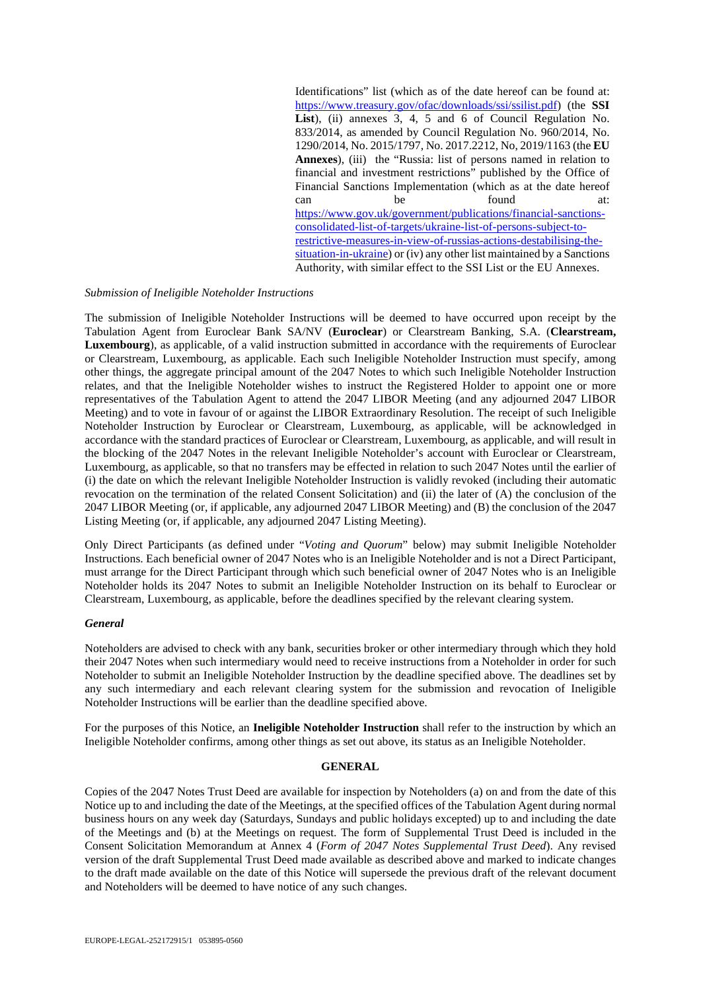Identifications" list (which as of the date hereof can be found at: [https://www.treasury.gov/ofac/downloads/ssi/ssilist.pdf\)](https://www.treasury.gov/ofac/downloads/ssi/ssilist.pdf) (the **SSI**  List), (ii) annexes 3, 4, 5 and 6 of Council Regulation No. 833/2014, as amended by Council Regulation No. 960/2014, No. 1290/2014, No. 2015/1797, No. 2017.2212, No, 2019/1163 (the **EU Annexes**), (iii) the "Russia: list of persons named in relation to financial and investment restrictions" published by the Office of Financial Sanctions Implementation (which as at the date hereof can be found at: [https://www.gov.uk/government/publications/financial-sanctions](https://www.gov.uk/government/publications/financial-sanctions-consolidated-list-of-targets/ukraine-list-of-persons-subject-to-restrictive-measures-in-view-of-russias-actions-destabilising-the-situation-in-ukraine)[consolidated-list-of-targets/ukraine-list-of-persons-subject-to](https://www.gov.uk/government/publications/financial-sanctions-consolidated-list-of-targets/ukraine-list-of-persons-subject-to-restrictive-measures-in-view-of-russias-actions-destabilising-the-situation-in-ukraine)[restrictive-measures-in-view-of-russias-actions-destabilising-the](https://www.gov.uk/government/publications/financial-sanctions-consolidated-list-of-targets/ukraine-list-of-persons-subject-to-restrictive-measures-in-view-of-russias-actions-destabilising-the-situation-in-ukraine)[situation-in-ukraine\)](https://www.gov.uk/government/publications/financial-sanctions-consolidated-list-of-targets/ukraine-list-of-persons-subject-to-restrictive-measures-in-view-of-russias-actions-destabilising-the-situation-in-ukraine) or (iv) any other list maintained by a Sanctions Authority, with similar effect to the SSI List or the EU Annexes.

#### *Submission of Ineligible Noteholder Instructions*

The submission of Ineligible Noteholder Instructions will be deemed to have occurred upon receipt by the Tabulation Agent from Euroclear Bank SA/NV (**Euroclear**) or Clearstream Banking, S.A. (**Clearstream, Luxembourg**), as applicable, of a valid instruction submitted in accordance with the requirements of Euroclear or Clearstream, Luxembourg, as applicable. Each such Ineligible Noteholder Instruction must specify, among other things, the aggregate principal amount of the 2047 Notes to which such Ineligible Noteholder Instruction relates, and that the Ineligible Noteholder wishes to instruct the Registered Holder to appoint one or more representatives of the Tabulation Agent to attend the 2047 LIBOR Meeting (and any adjourned 2047 LIBOR Meeting) and to vote in favour of or against the LIBOR Extraordinary Resolution. The receipt of such Ineligible Noteholder Instruction by Euroclear or Clearstream, Luxembourg, as applicable, will be acknowledged in accordance with the standard practices of Euroclear or Clearstream, Luxembourg, as applicable, and will result in the blocking of the 2047 Notes in the relevant Ineligible Noteholder's account with Euroclear or Clearstream, Luxembourg, as applicable, so that no transfers may be effected in relation to such 2047 Notes until the earlier of (i) the date on which the relevant Ineligible Noteholder Instruction is validly revoked (including their automatic revocation on the termination of the related Consent Solicitation) and (ii) the later of (A) the conclusion of the 2047 LIBOR Meeting (or, if applicable, any adjourned 2047 LIBOR Meeting) and (B) the conclusion of the 2047 Listing Meeting (or, if applicable, any adjourned 2047 Listing Meeting).

Only Direct Participants (as defined under "*Voting and Quorum*" below) may submit Ineligible Noteholder Instructions. Each beneficial owner of 2047 Notes who is an Ineligible Noteholder and is not a Direct Participant, must arrange for the Direct Participant through which such beneficial owner of 2047 Notes who is an Ineligible Noteholder holds its 2047 Notes to submit an Ineligible Noteholder Instruction on its behalf to Euroclear or Clearstream, Luxembourg, as applicable, before the deadlines specified by the relevant clearing system.

#### *General*

Noteholders are advised to check with any bank, securities broker or other intermediary through which they hold their 2047 Notes when such intermediary would need to receive instructions from a Noteholder in order for such Noteholder to submit an Ineligible Noteholder Instruction by the deadline specified above. The deadlines set by any such intermediary and each relevant clearing system for the submission and revocation of Ineligible Noteholder Instructions will be earlier than the deadline specified above.

For the purposes of this Notice, an **Ineligible Noteholder Instruction** shall refer to the instruction by which an Ineligible Noteholder confirms, among other things as set out above, its status as an Ineligible Noteholder.

#### **GENERAL**

Copies of the 2047 Notes Trust Deed are available for inspection by Noteholders (a) on and from the date of this Notice up to and including the date of the Meetings, at the specified offices of the Tabulation Agent during normal business hours on any week day (Saturdays, Sundays and public holidays excepted) up to and including the date of the Meetings and (b) at the Meetings on request. The form of Supplemental Trust Deed is included in the Consent Solicitation Memorandum at Annex 4 (*Form of 2047 Notes Supplemental Trust Deed*). Any revised version of the draft Supplemental Trust Deed made available as described above and marked to indicate changes to the draft made available on the date of this Notice will supersede the previous draft of the relevant document and Noteholders will be deemed to have notice of any such changes.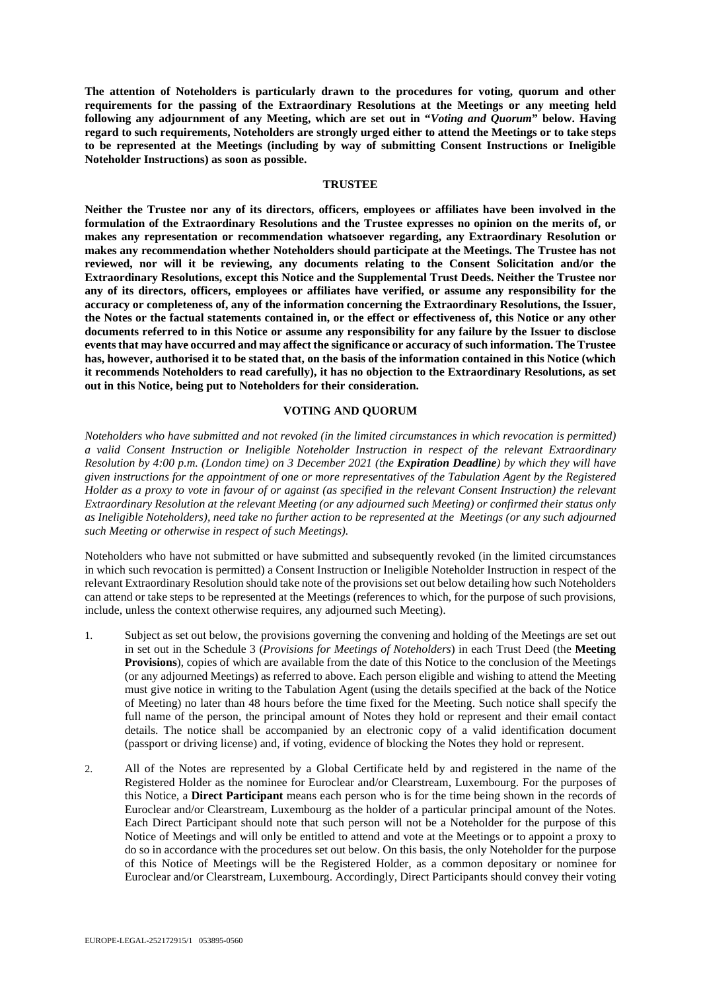**The attention of Noteholders is particularly drawn to the procedures for voting, quorum and other requirements for the passing of the Extraordinary Resolutions at the Meetings or any meeting held following any adjournment of any Meeting, which are set out in "***Voting and Quorum***" below. Having regard to such requirements, Noteholders are strongly urged either to attend the Meetings or to take steps to be represented at the Meetings (including by way of submitting Consent Instructions or Ineligible Noteholder Instructions) as soon as possible.**

#### **TRUSTEE**

**Neither the Trustee nor any of its directors, officers, employees or affiliates have been involved in the formulation of the Extraordinary Resolutions and the Trustee expresses no opinion on the merits of, or makes any representation or recommendation whatsoever regarding, any Extraordinary Resolution or makes any recommendation whether Noteholders should participate at the Meetings. The Trustee has not reviewed, nor will it be reviewing, any documents relating to the Consent Solicitation and/or the Extraordinary Resolutions, except this Notice and the Supplemental Trust Deeds. Neither the Trustee nor any of its directors, officers, employees or affiliates have verified, or assume any responsibility for the accuracy or completeness of, any of the information concerning the Extraordinary Resolutions, the Issuer, the Notes or the factual statements contained in, or the effect or effectiveness of, this Notice or any other documents referred to in this Notice or assume any responsibility for any failure by the Issuer to disclose events that may have occurred and may affect the significance or accuracy of such information. The Trustee has, however, authorised it to be stated that, on the basis of the information contained in this Notice (which it recommends Noteholders to read carefully), it has no objection to the Extraordinary Resolutions, as set out in this Notice, being put to Noteholders for their consideration.**

#### **VOTING AND QUORUM**

*Noteholders who have submitted and not revoked (in the limited circumstances in which revocation is permitted) a valid Consent Instruction or Ineligible Noteholder Instruction in respect of the relevant Extraordinary Resolution by 4:00 p.m. (London time) on 3 December 2021 (the Expiration Deadline) by which they will have given instructions for the appointment of one or more representatives of the Tabulation Agent by the Registered Holder as a proxy to vote in favour of or against (as specified in the relevant Consent Instruction) the relevant Extraordinary Resolution at the relevant Meeting (or any adjourned such Meeting) or confirmed their status only as Ineligible Noteholders), need take no further action to be represented at the Meetings (or any such adjourned such Meeting or otherwise in respect of such Meetings).*

Noteholders who have not submitted or have submitted and subsequently revoked (in the limited circumstances in which such revocation is permitted) a Consent Instruction or Ineligible Noteholder Instruction in respect of the relevant Extraordinary Resolution should take note of the provisions set out below detailing how such Noteholders can attend or take steps to be represented at the Meetings (references to which, for the purpose of such provisions, include, unless the context otherwise requires, any adjourned such Meeting).

- 1. Subject as set out below, the provisions governing the convening and holding of the Meetings are set out in set out in the Schedule 3 (*Provisions for Meetings of Noteholders*) in each Trust Deed (the **Meeting Provisions**), copies of which are available from the date of this Notice to the conclusion of the Meetings (or any adjourned Meetings) as referred to above. Each person eligible and wishing to attend the Meeting must give notice in writing to the Tabulation Agent (using the details specified at the back of the Notice of Meeting) no later than 48 hours before the time fixed for the Meeting. Such notice shall specify the full name of the person, the principal amount of Notes they hold or represent and their email contact details. The notice shall be accompanied by an electronic copy of a valid identification document (passport or driving license) and, if voting, evidence of blocking the Notes they hold or represent.
- 2. All of the Notes are represented by a Global Certificate held by and registered in the name of the Registered Holder as the nominee for Euroclear and/or Clearstream, Luxembourg. For the purposes of this Notice, a **Direct Participant** means each person who is for the time being shown in the records of Euroclear and/or Clearstream, Luxembourg as the holder of a particular principal amount of the Notes. Each Direct Participant should note that such person will not be a Noteholder for the purpose of this Notice of Meetings and will only be entitled to attend and vote at the Meetings or to appoint a proxy to do so in accordance with the procedures set out below. On this basis, the only Noteholder for the purpose of this Notice of Meetings will be the Registered Holder, as a common depositary or nominee for Euroclear and/or Clearstream, Luxembourg. Accordingly, Direct Participants should convey their voting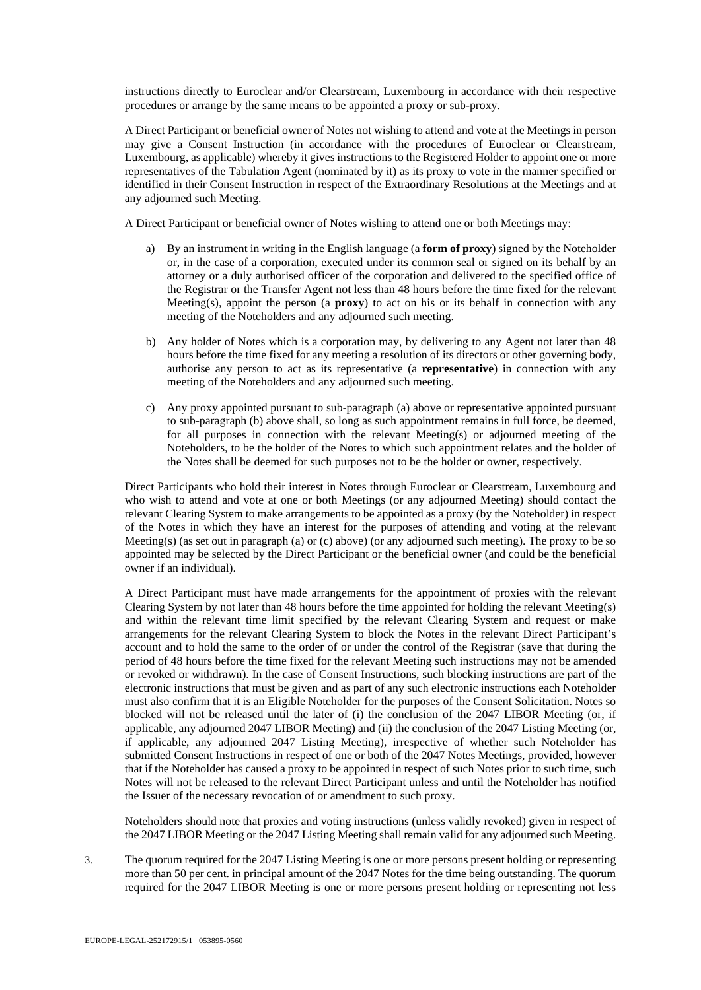instructions directly to Euroclear and/or Clearstream, Luxembourg in accordance with their respective procedures or arrange by the same means to be appointed a proxy or sub-proxy.

A Direct Participant or beneficial owner of Notes not wishing to attend and vote at the Meetings in person may give a Consent Instruction (in accordance with the procedures of Euroclear or Clearstream, Luxembourg, as applicable) whereby it gives instructions to the Registered Holder to appoint one or more representatives of the Tabulation Agent (nominated by it) as its proxy to vote in the manner specified or identified in their Consent Instruction in respect of the Extraordinary Resolutions at the Meetings and at any adjourned such Meeting.

A Direct Participant or beneficial owner of Notes wishing to attend one or both Meetings may:

- a) By an instrument in writing in the English language (a **form of proxy**) signed by the Noteholder or, in the case of a corporation, executed under its common seal or signed on its behalf by an attorney or a duly authorised officer of the corporation and delivered to the specified office of the Registrar or the Transfer Agent not less than 48 hours before the time fixed for the relevant Meeting(s), appoint the person (a **proxy**) to act on his or its behalf in connection with any meeting of the Noteholders and any adjourned such meeting.
- b) Any holder of Notes which is a corporation may, by delivering to any Agent not later than 48 hours before the time fixed for any meeting a resolution of its directors or other governing body, authorise any person to act as its representative (a **representative**) in connection with any meeting of the Noteholders and any adjourned such meeting.
- c) Any proxy appointed pursuant to sub-paragraph (a) above or representative appointed pursuant to sub-paragraph (b) above shall, so long as such appointment remains in full force, be deemed, for all purposes in connection with the relevant Meeting(s) or adjourned meeting of the Noteholders, to be the holder of the Notes to which such appointment relates and the holder of the Notes shall be deemed for such purposes not to be the holder or owner, respectively.

Direct Participants who hold their interest in Notes through Euroclear or Clearstream, Luxembourg and who wish to attend and vote at one or both Meetings (or any adjourned Meeting) should contact the relevant Clearing System to make arrangements to be appointed as a proxy (by the Noteholder) in respect of the Notes in which they have an interest for the purposes of attending and voting at the relevant Meeting(s) (as set out in paragraph (a) or (c) above) (or any adjourned such meeting). The proxy to be so appointed may be selected by the Direct Participant or the beneficial owner (and could be the beneficial owner if an individual).

A Direct Participant must have made arrangements for the appointment of proxies with the relevant Clearing System by not later than 48 hours before the time appointed for holding the relevant Meeting(s) and within the relevant time limit specified by the relevant Clearing System and request or make arrangements for the relevant Clearing System to block the Notes in the relevant Direct Participant's account and to hold the same to the order of or under the control of the Registrar (save that during the period of 48 hours before the time fixed for the relevant Meeting such instructions may not be amended or revoked or withdrawn). In the case of Consent Instructions, such blocking instructions are part of the electronic instructions that must be given and as part of any such electronic instructions each Noteholder must also confirm that it is an Eligible Noteholder for the purposes of the Consent Solicitation. Notes so blocked will not be released until the later of (i) the conclusion of the 2047 LIBOR Meeting (or, if applicable, any adjourned 2047 LIBOR Meeting) and (ii) the conclusion of the 2047 Listing Meeting (or, if applicable, any adjourned 2047 Listing Meeting), irrespective of whether such Noteholder has submitted Consent Instructions in respect of one or both of the 2047 Notes Meetings, provided, however that if the Noteholder has caused a proxy to be appointed in respect of such Notes prior to such time, such Notes will not be released to the relevant Direct Participant unless and until the Noteholder has notified the Issuer of the necessary revocation of or amendment to such proxy.

Noteholders should note that proxies and voting instructions (unless validly revoked) given in respect of the 2047 LIBOR Meeting or the 2047 Listing Meeting shall remain valid for any adjourned such Meeting.

3. The quorum required for the 2047 Listing Meeting is one or more persons present holding or representing more than 50 per cent. in principal amount of the 2047 Notes for the time being outstanding. The quorum required for the 2047 LIBOR Meeting is one or more persons present holding or representing not less